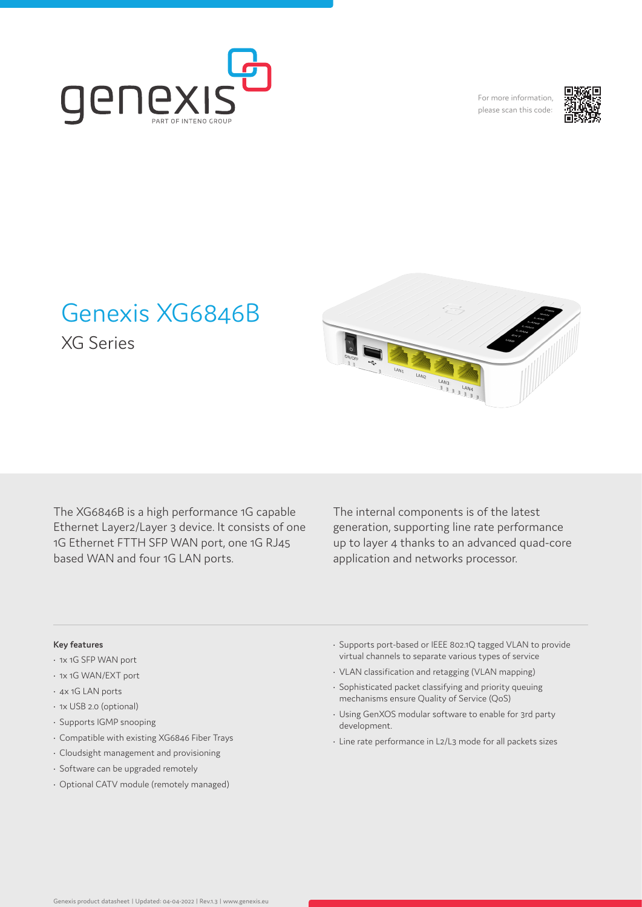

For more information, please scan this code:



# Genexis XG6846B

XG Series

The XG6846B is a high performance 1G capable Ethernet Layer2/Layer 3 device. It consists of one 1G Ethernet FTTH SFP WAN port, one 1G RJ45 based WAN and four 1G LAN ports.

The internal components is of the latest generation, supporting line rate performance up to layer 4 thanks to an advanced quad-core application and networks processor.

LAND

 $\frac{L_{\text{AN}}}{2}$ 

# **Key features**

- 1x 1G SFP WAN port
- 1x 1G WAN/EXT port
- 4x 1G LAN ports
- 1x USB 2.0 (optional)
- Supports IGMP snooping
- Compatible with existing XG6846 Fiber Trays
- Cloudsight management and provisioning
- Software can be upgraded remotely
- Optional CATV module (remotely managed)
- Supports port-based or IEEE 802.1Q tagged VLAN to provide virtual channels to separate various types of service
- VLAN classification and retagging (VLAN mapping)
- Sophisticated packet classifying and priority queuing mechanisms ensure Quality of Service (QoS)
- Using GenXOS modular software to enable for 3rd party development.
- Line rate performance in L2/L3 mode for all packets sizes